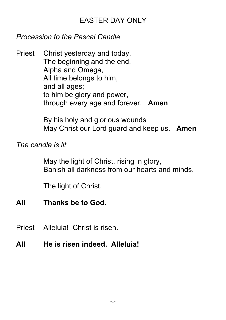## EASTER DAY ONLY

### *Procession to the Pascal Candle*

Priest Christ yesterday and today, The beginning and the end, Alpha and Omega, All time belongs to him, and all ages; to him be glory and power, through every age and forever. **Amen**

> By his holy and glorious wounds May Christ our Lord guard and keep us. **Amen**

## *The candle is lit*

May the light of Christ, rising in glory, Banish all darkness from our hearts and minds.

The light of Christ.

- **All Thanks be to God.**
- Priest Alleluia! Christ is risen.
- **All He is risen indeed. Alleluia!**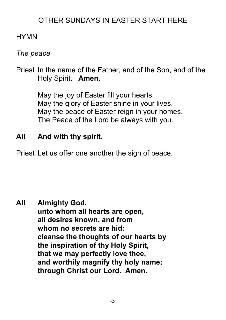## OTHER SUNDAYS IN EASTER START HERE

## **HYMN**

## *The peace*

Priest In the name of the Father, and of the Son, and of the Holy Spirit. **Amen.**

> May the joy of Easter fill your hearts. May the glory of Easter shine in your lives. May the peace of Easter reign in your homes. The Peace of the Lord be always with you.

## **All And with thy spirit.**

Priest Let us offer one another the sign of peace.

**All Almighty God, unto whom all hearts are open, all desires known, and from whom no secrets are hid: cleanse the thoughts of our hearts by the inspiration of thy Holy Spirit, that we may perfectly love thee, and worthily magnify thy holy name; through Christ our Lord. Amen.**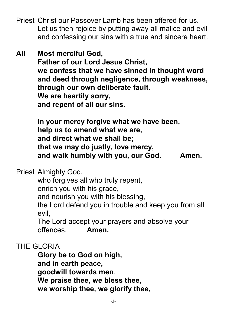- Priest Christ our Passover Lamb has been offered for us. Let us then rejoice by putting away all malice and evil and confessing our sins with a true and sincere heart.
- **All Most merciful God, Father of our Lord Jesus Christ, we confess that we have sinned in thought word and deed through negligence, through weakness, through our own deliberate fault. We are heartily sorry, and repent of all our sins.**

**In your mercy forgive what we have been, help us to amend what we are, and direct what we shall be; that we may do justly, love mercy, and walk humbly with you, our God. Amen.**

Priest Almighty God,

who forgives all who truly repent, enrich you with his grace, and nourish you with his blessing, the Lord defend you in trouble and keep you from all evil,

The Lord accept your prayers and absolve your offences. **Amen.**

THE GLORIA

**Glory be to God on high, and in earth peace, goodwill towards men**. **We praise thee, we bless thee, we worship thee, we glorify thee,**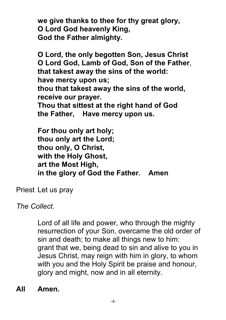**we give thanks to thee for thy great glory, O Lord God heavenly King, God the Father almighty.**

**O Lord, the only begotten Son, Jesus Christ O Lord God, Lamb of God, Son of the Father**, **that takest away the sins of the world: have mercy upon us; thou that takest away the sins of the world, receive our prayer.**

**Thou that sittest at the right hand of God the Father, Have mercy upon us.**

**For thou only art holy; thou only art the Lord; thou only, O Christ, with the Holy Ghost, art the Most High, in the glory of God the Father. Amen**

Priest Let us pray

*The Collect.*

Lord of all life and power, who through the mighty resurrection of your Son, overcame the old order of sin and death; to make all things new to him: grant that we, being dead to sin and alive to you in Jesus Christ, may reign with him in glory, to whom with you and the Holy Spirit be praise and honour, glory and might, now and in all eternity.

**All Amen.**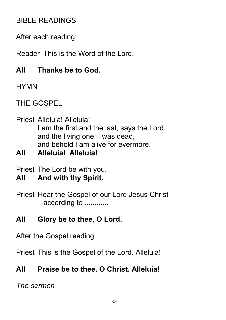## BIBLE READINGS

After each reading:

Reader This is the Word of the Lord.

## **All Thanks be to God.**

**HYMN** 

THE GOSPEL

### Priest Alleluia! Alleluia! I am the first and the last, says the Lord, and the living one; I was dead, and behold I am alive for evermore.

**All Alleluia! Alleluia!**

Priest The Lord be with you.

## **All And with thy Spirit.**

Priest Hear the Gospel of our Lord Jesus Christ according to ............

# **All Glory be to thee, O Lord.**

After the Gospel reading

Priest This is the Gospel of the Lord. Alleluia!

# **All Praise be to thee, O Christ. Alleluia!**

*The sermon*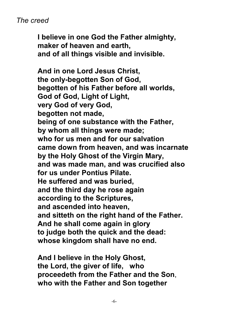#### *The creed*

**I believe in one God the Father almighty, maker of heaven and earth, and of all things visible and invisible.**

**And in one Lord Jesus Christ, the only-begotten Son of God, begotten of his Father before all worlds, God of God, Light of Light, very God of very God, begotten not made, being of one substance with the Father, by whom all things were made; who for us men and for our salvation came down from heaven, and was incarnate by the Holy Ghost of the Virgin Mary, and was made man, and was crucified also for us under Pontius Pilate. He suffered and was buried, and the third day he rose again according to the Scriptures, and ascended into heaven, and sitteth on the right hand of the Father. And he shall come again in glory to judge both the quick and the dead: whose kingdom shall have no end.**

**And I believe in the Holy Ghost, the Lord, the giver of life, who proceedeth from the Father and the Son**, **who with the Father and Son together**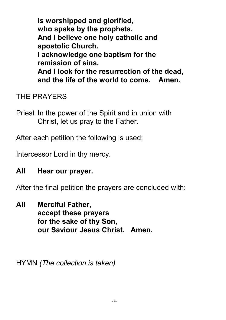**is worshipped and glorified, who spake by the prophets. And I believe one holy catholic and apostolic Church. I acknowledge one baptism for the remission of sins. And I look for the resurrection of the dead, and the life of the world to come. Amen.**

## THE PRAYERS

Priest In the power of the Spirit and in union with Christ, let us pray to the Father.

After each petition the following is used:

Intercessor Lord in thy mercy.

### **All Hear our prayer.**

After the final petition the prayers are concluded with:

**All Merciful Father, accept these prayers for the sake of thy Son, our Saviour Jesus Christ. Amen.**

HYMN *(The collection is taken)*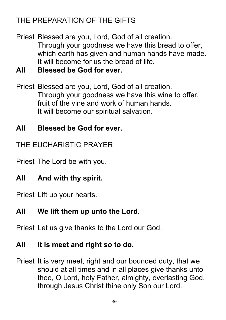# THE PREPARATION OF THE GIFTS

Priest Blessed are you, Lord, God of all creation. Through your goodness we have this bread to offer, which earth has given and human hands have made. It will become for us the bread of life.

**All Blessed be God for ever.**

Priest Blessed are you, Lord, God of all creation. Through your goodness we have this wine to offer, fruit of the vine and work of human hands. It will become our spiritual salvation.

## **All Blessed be God for ever.**

THE EUCHARISTIC PRAYER

Priest The Lord be with you.

# **All And with thy spirit.**

Priest Lift up your hearts.

## **All We lift them up unto the Lord.**

Priest Let us give thanks to the Lord our God.

### **All It is meet and right so to do.**

Priest It is very meet, right and our bounded duty, that we should at all times and in all places give thanks unto thee, O Lord, holy Father, almighty, everlasting God, through Jesus Christ thine only Son our Lord.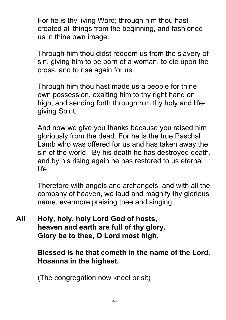For he is thy living Word; through him thou hast created all things from the beginning, and fashioned us in thine own image.

Through him thou didst redeem us from the slavery of sin, giving him to be born of a woman, to die upon the cross, and to rise again for us.

Through him thou hast made us a people for thine own possession, exalting him to thy right hand on high, and sending forth through him thy holy and lifegiving Spirit.

And now we give you thanks because you raised him gloriously from the dead. For he is the true Paschal Lamb who was offered for us and has taken away the sin of the world. By his death he has destroyed death, and by his rising again he has restored to us eternal life.

Therefore with angels and archangels, and with all the company of heaven, we laud and magnify thy glorious name, evermore praising thee and singing:

**All Holy, holy, holy Lord God of hosts, heaven and earth are full of thy glory. Glory be to thee, O Lord most high.**

> **Blessed is he that cometh in the name of the Lord. Hosanna in the highest.**

(The congregation now kneel or sit)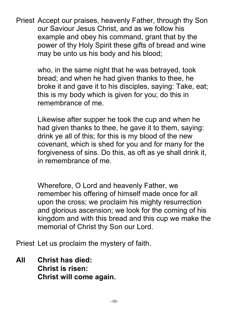Priest Accept our praises, heavenly Father, through thy Son our Saviour Jesus Christ, and as we follow his example and obey his command, grant that by the power of thy Holy Spirit these gifts of bread and wine may be unto us his body and his blood;

> who, in the same night that he was betrayed, took bread; and when he had given thanks to thee, he broke it and gave it to his disciples, saying: Take, eat; this is my body which is given for you; do this in remembrance of me.

Likewise after supper he took the cup and when he had given thanks to thee, he gave it to them, saying: drink ye all of this; for this is my blood of the new covenant, which is shed for you and for many for the forgiveness of sins. Do this, as oft as ye shall drink it, in remembrance of me.

Wherefore, O Lord and heavenly Father, we remember his offering of himself made once for all upon the cross; we proclaim his mighty resurrection and glorious ascension; we look for the coming of his kingdom and with this bread and this cup we make the memorial of Christ thy Son our Lord.

Priest Let us proclaim the mystery of faith.

**All Christ has died: Christ is risen: Christ will come again.**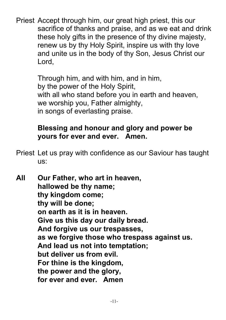Priest Accept through him, our great high priest, this our sacrifice of thanks and praise, and as we eat and drink these holy gifts in the presence of thy divine majesty, renew us by thy Holy Spirit, inspire us with thy love and unite us in the body of thy Son, Jesus Christ our Lord,

> Through him, and with him, and in him, by the power of the Holy Spirit, with all who stand before you in earth and heaven, we worship you, Father almighty, in songs of everlasting praise.

## **Blessing and honour and glory and power be yours for ever and ever. Amen.**

- Priest Let us pray with confidence as our Saviour has taught us:
- **All Our Father, who art in heaven, hallowed be thy name; thy kingdom come; thy will be done; on earth as it is in heaven. Give us this day our daily bread. And forgive us our trespasses, as we forgive those who trespass against us. And lead us not into temptation; but deliver us from evil. For thine is the kingdom, the power and the glory, for ever and ever. Amen**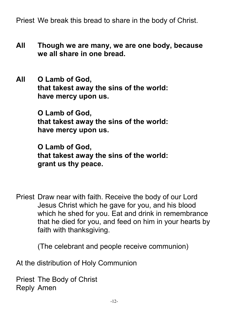Priest We break this bread to share in the body of Christ.

- **All Though we are many, we are one body, because we all share in one bread.**
- **All O Lamb of God, that takest away the sins of the world: have mercy upon us.**

**O Lamb of God, that takest away the sins of the world: have mercy upon us.**

**O Lamb of God, that takest away the sins of the world: grant us thy peace.**

Priest Draw near with faith. Receive the body of our Lord Jesus Christ which he gave for you, and his blood which he shed for you. Eat and drink in remembrance that he died for you, and feed on him in your hearts by faith with thanksgiving.

(The celebrant and people receive communion)

At the distribution of Holy Communion

Priest The Body of Christ Reply Amen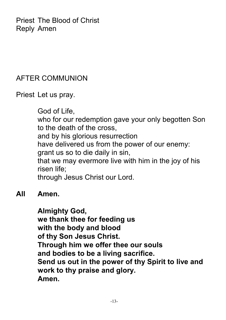Priest The Blood of Christ Reply Amen

### AFTER COMMUNION

Priest Let us pray.

God of Life, who for our redemption gave your only begotten Son to the death of the cross, and by his glorious resurrection have delivered us from the power of our enemy: grant us so to die daily in sin, that we may evermore live with him in the joy of his risen life; through Jesus Christ our Lord.

### **All Amen.**

#### **Almighty God,**

**we thank thee for feeding us with the body and blood of thy Son Jesus Christ. Through him we offer thee our souls and bodies to be a living sacrifice. Send us out in the power of thy Spirit to live and work to thy praise and glory. Amen.**